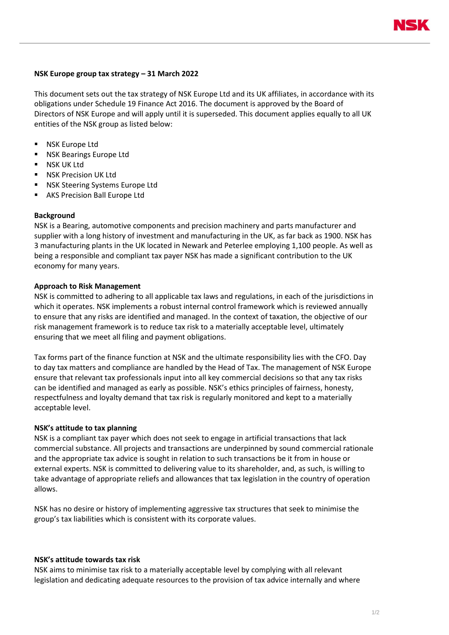

## **NSK Europe group tax strategy – 31 March 2022**

This document sets out the tax strategy of NSK Europe Ltd and its UK affiliates, in accordance with its obligations under Schedule 19 Finance Act 2016. The document is approved by the Board of Directors of NSK Europe and will apply until it is superseded. This document applies equally to all UK entities of the NSK group as listed below:

- **NSK Europe Ltd**
- NSK Bearings Europe Ltd
- NSK UK Ltd
- NSK Precision UK Ltd
- NSK Steering Systems Europe Ltd
- AKS Precision Ball Europe Ltd

#### **Background**

NSK is a Bearing, automotive components and precision machinery and parts manufacturer and supplier with a long history of investment and manufacturing in the UK, as far back as 1900. NSK has 3 manufacturing plants in the UK located in Newark and Peterlee employing 1,100 people. As well as being a responsible and compliant tax payer NSK has made a significant contribution to the UK economy for many years.

### **Approach to Risk Management**

NSK is committed to adhering to all applicable tax laws and regulations, in each of the jurisdictions in which it operates. NSK implements a robust internal control framework which is reviewed annually to ensure that any risks are identified and managed. In the context of taxation, the objective of our risk management framework is to reduce tax risk to a materially acceptable level, ultimately ensuring that we meet all filing and payment obligations.

Tax forms part of the finance function at NSK and the ultimate responsibility lies with the CFO. Day to day tax matters and compliance are handled by the Head of Tax. The management of NSK Europe ensure that relevant tax professionals input into all key commercial decisions so that any tax risks can be identified and managed as early as possible. NSK's ethics principles of fairness, honesty, respectfulness and loyalty demand that tax risk is regularly monitored and kept to a materially acceptable level.

#### **NSK's attitude to tax planning**

NSK is a compliant tax payer which does not seek to engage in artificial transactions that lack commercial substance. All projects and transactions are underpinned by sound commercial rationale and the appropriate tax advice is sought in relation to such transactions be it from in house or external experts. NSK is committed to delivering value to its shareholder, and, as such, is willing to take advantage of appropriate reliefs and allowances that tax legislation in the country of operation allows.

NSK has no desire or history of implementing aggressive tax structures that seek to minimise the group's tax liabilities which is consistent with its corporate values.

### **NSK's attitude towards tax risk**

NSK aims to minimise tax risk to a materially acceptable level by complying with all relevant legislation and dedicating adequate resources to the provision of tax advice internally and where